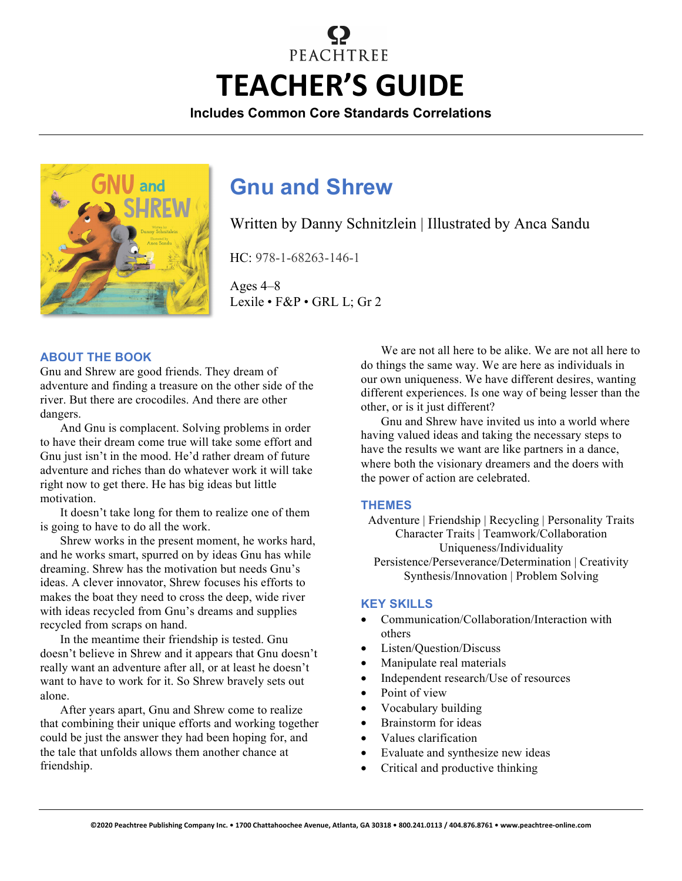# PEACHTREE **TEACHER'S GUIDE**

**Includes Common Core Standards Correlations**



# **Gnu and Shrew**

Written by Danny Schnitzlein | Illustrated by Anca Sandu

HC: 978-1-68263-146-1

Ages 4–8 Lexile • F&P • GRL L; Gr 2

#### **ABOUT THE BOOK**

Gnu and Shrew are good friends. They dream of adventure and finding a treasure on the other side of the river. But there are crocodiles. And there are other dangers.

And Gnu is complacent. Solving problems in order to have their dream come true will take some effort and Gnu just isn't in the mood. He'd rather dream of future adventure and riches than do whatever work it will take right now to get there. He has big ideas but little motivation.

It doesn't take long for them to realize one of them is going to have to do all the work.

Shrew works in the present moment, he works hard, and he works smart, spurred on by ideas Gnu has while dreaming. Shrew has the motivation but needs Gnu's ideas. A clever innovator, Shrew focuses his efforts to makes the boat they need to cross the deep, wide river with ideas recycled from Gnu's dreams and supplies recycled from scraps on hand.

In the meantime their friendship is tested. Gnu doesn't believe in Shrew and it appears that Gnu doesn't really want an adventure after all, or at least he doesn't want to have to work for it. So Shrew bravely sets out alone.

After years apart, Gnu and Shrew come to realize that combining their unique efforts and working together could be just the answer they had been hoping for, and the tale that unfolds allows them another chance at friendship.

We are not all here to be alike. We are not all here to do things the same way. We are here as individuals in our own uniqueness. We have different desires, wanting different experiences. Is one way of being lesser than the other, or is it just different?

Gnu and Shrew have invited us into a world where having valued ideas and taking the necessary steps to have the results we want are like partners in a dance, where both the visionary dreamers and the doers with the power of action are celebrated.

#### **THEMES**

Adventure | Friendship | Recycling | Personality Traits Character Traits | Teamwork/Collaboration Uniqueness/Individuality Persistence/Perseverance/Determination | Creativity Synthesis/Innovation | Problem Solving

#### **KEY SKILLS**

- Communication/Collaboration/Interaction with others
- Listen/Question/Discuss
- Manipulate real materials
- Independent research/Use of resources
- Point of view
- Vocabulary building
- Brainstorm for ideas
- Values clarification
- Evaluate and synthesize new ideas
- Critical and productive thinking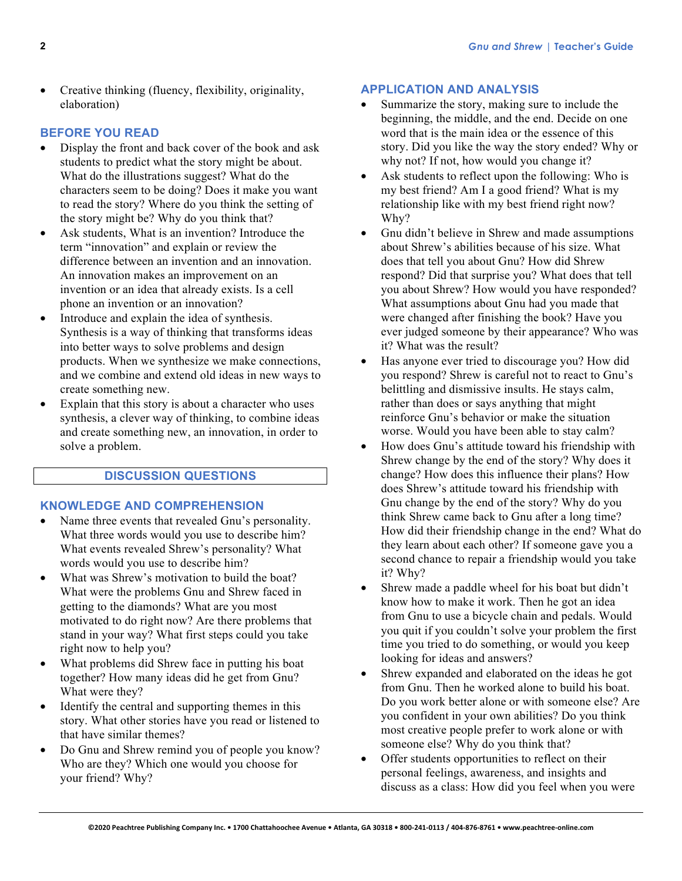• Creative thinking (fluency, flexibility, originality, elaboration)

# **BEFORE YOU READ**

- Display the front and back cover of the book and ask students to predict what the story might be about. What do the illustrations suggest? What do the characters seem to be doing? Does it make you want to read the story? Where do you think the setting of the story might be? Why do you think that?
- Ask students, What is an invention? Introduce the term "innovation" and explain or review the difference between an invention and an innovation. An innovation makes an improvement on an invention or an idea that already exists. Is a cell phone an invention or an innovation?
- Introduce and explain the idea of synthesis. Synthesis is a way of thinking that transforms ideas into better ways to solve problems and design products. When we synthesize we make connections, and we combine and extend old ideas in new ways to create something new.
- Explain that this story is about a character who uses synthesis, a clever way of thinking, to combine ideas and create something new, an innovation, in order to solve a problem.

# **DISCUSSION QUESTIONS**

# **KNOWLEDGE AND COMPREHENSION**

- Name three events that revealed Gnu's personality. What three words would you use to describe him? What events revealed Shrew's personality? What words would you use to describe him?
- What was Shrew's motivation to build the boat? What were the problems Gnu and Shrew faced in getting to the diamonds? What are you most motivated to do right now? Are there problems that stand in your way? What first steps could you take right now to help you?
- What problems did Shrew face in putting his boat together? How many ideas did he get from Gnu? What were they?
- Identify the central and supporting themes in this story. What other stories have you read or listened to that have similar themes?
- Do Gnu and Shrew remind you of people you know? Who are they? Which one would you choose for your friend? Why?

# **APPLICATION AND ANALYSIS**

- Summarize the story, making sure to include the beginning, the middle, and the end. Decide on one word that is the main idea or the essence of this story. Did you like the way the story ended? Why or why not? If not, how would you change it?
- Ask students to reflect upon the following: Who is my best friend? Am I a good friend? What is my relationship like with my best friend right now? Why?
- Gnu didn't believe in Shrew and made assumptions about Shrew's abilities because of his size. What does that tell you about Gnu? How did Shrew respond? Did that surprise you? What does that tell you about Shrew? How would you have responded? What assumptions about Gnu had you made that were changed after finishing the book? Have you ever judged someone by their appearance? Who was it? What was the result?
- Has anyone ever tried to discourage you? How did you respond? Shrew is careful not to react to Gnu's belittling and dismissive insults. He stays calm, rather than does or says anything that might reinforce Gnu's behavior or make the situation worse. Would you have been able to stay calm?
- How does Gnu's attitude toward his friendship with Shrew change by the end of the story? Why does it change? How does this influence their plans? How does Shrew's attitude toward his friendship with Gnu change by the end of the story? Why do you think Shrew came back to Gnu after a long time? How did their friendship change in the end? What do they learn about each other? If someone gave you a second chance to repair a friendship would you take it? Why?
- Shrew made a paddle wheel for his boat but didn't know how to make it work. Then he got an idea from Gnu to use a bicycle chain and pedals. Would you quit if you couldn't solve your problem the first time you tried to do something, or would you keep looking for ideas and answers?
- Shrew expanded and elaborated on the ideas he got from Gnu. Then he worked alone to build his boat. Do you work better alone or with someone else? Are you confident in your own abilities? Do you think most creative people prefer to work alone or with someone else? Why do you think that?
- Offer students opportunities to reflect on their personal feelings, awareness, and insights and discuss as a class: How did you feel when you were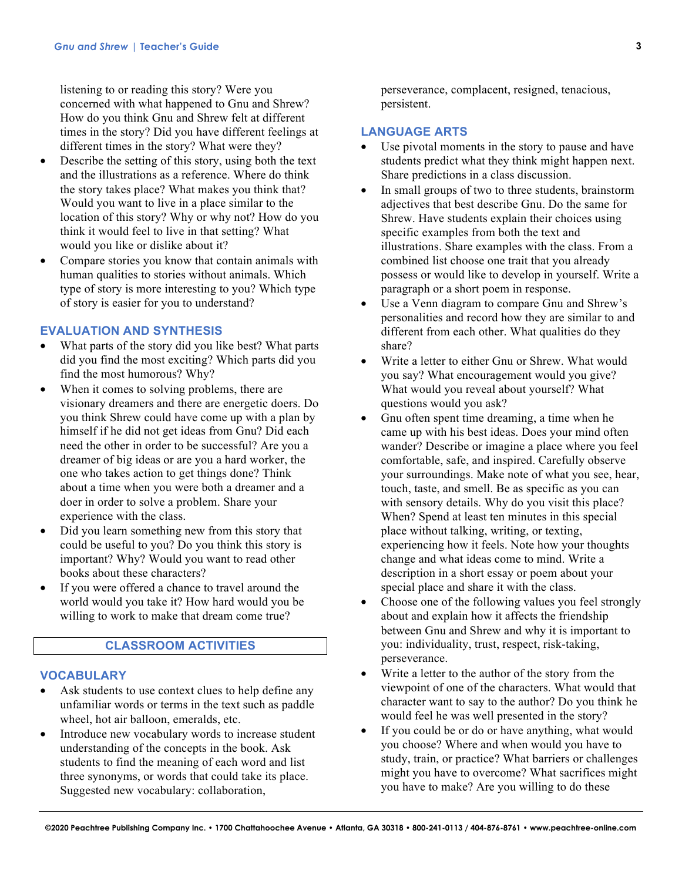listening to or reading this story? Were you concerned with what happened to Gnu and Shrew? How do you think Gnu and Shrew felt at different times in the story? Did you have different feelings at different times in the story? What were they?

- Describe the setting of this story, using both the text and the illustrations as a reference. Where do think the story takes place? What makes you think that? Would you want to live in a place similar to the location of this story? Why or why not? How do you think it would feel to live in that setting? What would you like or dislike about it?
- Compare stories you know that contain animals with human qualities to stories without animals. Which type of story is more interesting to you? Which type of story is easier for you to understand?

#### **EVALUATION AND SYNTHESIS**

- What parts of the story did you like best? What parts did you find the most exciting? Which parts did you find the most humorous? Why?
- When it comes to solving problems, there are visionary dreamers and there are energetic doers. Do you think Shrew could have come up with a plan by himself if he did not get ideas from Gnu? Did each need the other in order to be successful? Are you a dreamer of big ideas or are you a hard worker, the one who takes action to get things done? Think about a time when you were both a dreamer and a doer in order to solve a problem. Share your experience with the class.
- Did you learn something new from this story that could be useful to you? Do you think this story is important? Why? Would you want to read other books about these characters?
- If you were offered a chance to travel around the world would you take it? How hard would you be willing to work to make that dream come true?

# **CLASSROOM ACTIVITIES**

## **VOCABULARY**

- Ask students to use context clues to help define any unfamiliar words or terms in the text such as paddle wheel, hot air balloon, emeralds, etc.
- Introduce new vocabulary words to increase student understanding of the concepts in the book. Ask students to find the meaning of each word and list three synonyms, or words that could take its place. Suggested new vocabulary: collaboration,

perseverance, complacent, resigned, tenacious, persistent.

#### **LANGUAGE ARTS**

- Use pivotal moments in the story to pause and have students predict what they think might happen next. Share predictions in a class discussion.
- In small groups of two to three students, brainstorm adjectives that best describe Gnu. Do the same for Shrew. Have students explain their choices using specific examples from both the text and illustrations. Share examples with the class. From a combined list choose one trait that you already possess or would like to develop in yourself. Write a paragraph or a short poem in response.
- Use a Venn diagram to compare Gnu and Shrew's personalities and record how they are similar to and different from each other. What qualities do they share?
- Write a letter to either Gnu or Shrew. What would you say? What encouragement would you give? What would you reveal about yourself? What questions would you ask?
- Gnu often spent time dreaming, a time when he came up with his best ideas. Does your mind often wander? Describe or imagine a place where you feel comfortable, safe, and inspired. Carefully observe your surroundings. Make note of what you see, hear, touch, taste, and smell. Be as specific as you can with sensory details. Why do you visit this place? When? Spend at least ten minutes in this special place without talking, writing, or texting, experiencing how it feels. Note how your thoughts change and what ideas come to mind. Write a description in a short essay or poem about your special place and share it with the class.
- Choose one of the following values you feel strongly about and explain how it affects the friendship between Gnu and Shrew and why it is important to you: individuality, trust, respect, risk-taking, perseverance.
- Write a letter to the author of the story from the viewpoint of one of the characters. What would that character want to say to the author? Do you think he would feel he was well presented in the story?
- If you could be or do or have anything, what would you choose? Where and when would you have to study, train, or practice? What barriers or challenges might you have to overcome? What sacrifices might you have to make? Are you willing to do these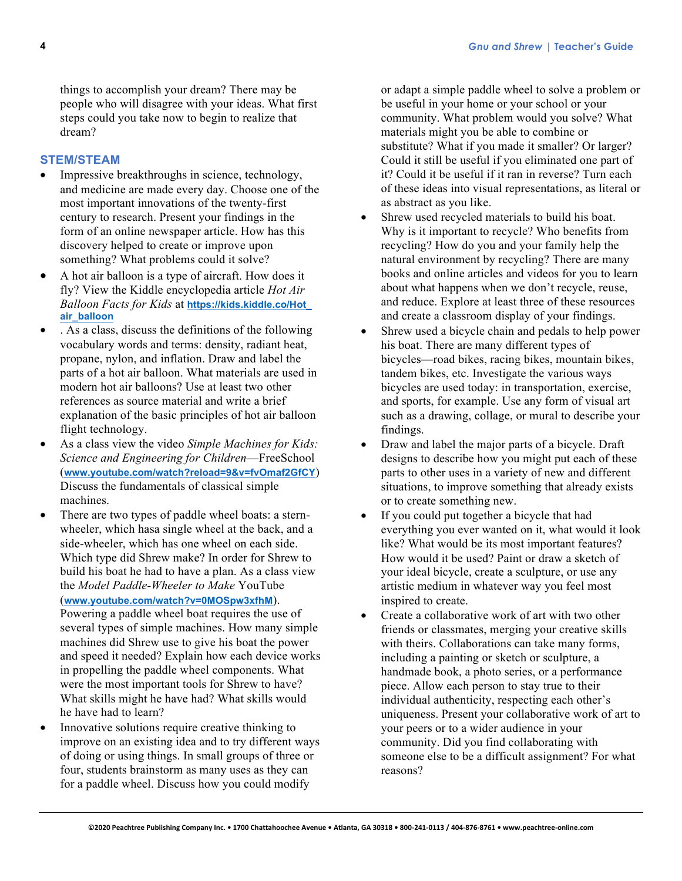things to accomplish your dream? There may be people who will disagree with your ideas. What first steps could you take now to begin to realize that dream?

# **STEM/STEAM**

- Impressive breakthroughs in science, technology, and medicine are made every day. Choose one of the most important innovations of the twenty-first century to research. Present your findings in the form of an online newspaper article. How has this discovery helped to create or improve upon something? What problems could it solve?
- A hot air balloon is a type of aircraft. How does it fly? View the Kiddle encyclopedia article *Hot Air Balloon Facts for Kids* at **https://kids.kiddle.co/Hot\_ air\_balloon**
- . As a class, discuss the definitions of the following vocabulary words and terms: density, radiant heat, propane, nylon, and inflation. Draw and label the parts of a hot air balloon. What materials are used in modern hot air balloons? Use at least two other references as source material and write a brief explanation of the basic principles of hot air balloon flight technology.
- As a class view the video *Simple Machines for Kids: Science and Engineering for Children*—FreeSchool (**www.youtube.com/watch?reload=9&v=fvOmaf2GfCY**) Discuss the fundamentals of classical simple machines.
- There are two types of paddle wheel boats: a sternwheeler, which hasa single wheel at the back, and a side-wheeler, which has one wheel on each side. Which type did Shrew make? In order for Shrew to build his boat he had to have a plan. As a class view the *Model Paddle-Wheeler to Make* YouTube (**www.youtube.com/watch?v=0MOSpw3xfhM**). Powering a paddle wheel boat requires the use of several types of simple machines. How many simple machines did Shrew use to give his boat the power and speed it needed? Explain how each device works in propelling the paddle wheel components. What were the most important tools for Shrew to have? What skills might he have had? What skills would he have had to learn?
- Innovative solutions require creative thinking to improve on an existing idea and to try different ways of doing or using things. In small groups of three or four, students brainstorm as many uses as they can for a paddle wheel. Discuss how you could modify

or adapt a simple paddle wheel to solve a problem or be useful in your home or your school or your community. What problem would you solve? What materials might you be able to combine or substitute? What if you made it smaller? Or larger? Could it still be useful if you eliminated one part of it? Could it be useful if it ran in reverse? Turn each of these ideas into visual representations, as literal or as abstract as you like.

- Shrew used recycled materials to build his boat. Why is it important to recycle? Who benefits from recycling? How do you and your family help the natural environment by recycling? There are many books and online articles and videos for you to learn about what happens when we don't recycle, reuse, and reduce. Explore at least three of these resources and create a classroom display of your findings.
- Shrew used a bicycle chain and pedals to help power his boat. There are many different types of bicycles—road bikes, racing bikes, mountain bikes, tandem bikes, etc. Investigate the various ways bicycles are used today: in transportation, exercise, and sports, for example. Use any form of visual art such as a drawing, collage, or mural to describe your findings.
- Draw and label the major parts of a bicycle. Draft designs to describe how you might put each of these parts to other uses in a variety of new and different situations, to improve something that already exists or to create something new.
- If you could put together a bicycle that had everything you ever wanted on it, what would it look like? What would be its most important features? How would it be used? Paint or draw a sketch of your ideal bicycle, create a sculpture, or use any artistic medium in whatever way you feel most inspired to create.
- Create a collaborative work of art with two other friends or classmates, merging your creative skills with theirs. Collaborations can take many forms, including a painting or sketch or sculpture, a handmade book, a photo series, or a performance piece. Allow each person to stay true to their individual authenticity, respecting each other's uniqueness. Present your collaborative work of art to your peers or to a wider audience in your community. Did you find collaborating with someone else to be a difficult assignment? For what reasons?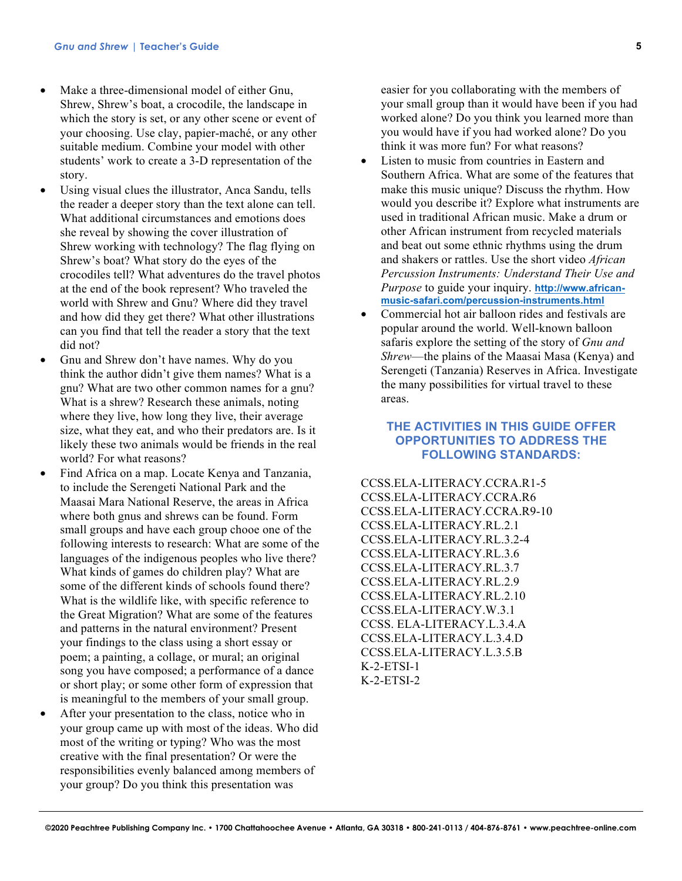- Make a three-dimensional model of either Gnu, Shrew, Shrew's boat, a crocodile, the landscape in which the story is set, or any other scene or event of your choosing. Use clay, papier-maché, or any other suitable medium. Combine your model with other students' work to create a 3-D representation of the story.
- Using visual clues the illustrator, Anca Sandu, tells the reader a deeper story than the text alone can tell. What additional circumstances and emotions does she reveal by showing the cover illustration of Shrew working with technology? The flag flying on Shrew's boat? What story do the eyes of the crocodiles tell? What adventures do the travel photos at the end of the book represent? Who traveled the world with Shrew and Gnu? Where did they travel and how did they get there? What other illustrations can you find that tell the reader a story that the text did not?
- Gnu and Shrew don't have names. Why do you think the author didn't give them names? What is a gnu? What are two other common names for a gnu? What is a shrew? Research these animals, noting where they live, how long they live, their average size, what they eat, and who their predators are. Is it likely these two animals would be friends in the real world? For what reasons?
- Find Africa on a map. Locate Kenya and Tanzania, to include the Serengeti National Park and the Maasai Mara National Reserve, the areas in Africa where both gnus and shrews can be found. Form small groups and have each group chooe one of the following interests to research: What are some of the languages of the indigenous peoples who live there? What kinds of games do children play? What are some of the different kinds of schools found there? What is the wildlife like, with specific reference to the Great Migration? What are some of the features and patterns in the natural environment? Present your findings to the class using a short essay or poem; a painting, a collage, or mural; an original song you have composed; a performance of a dance or short play; or some other form of expression that is meaningful to the members of your small group.
- After your presentation to the class, notice who in your group came up with most of the ideas. Who did most of the writing or typing? Who was the most creative with the final presentation? Or were the responsibilities evenly balanced among members of your group? Do you think this presentation was

easier for you collaborating with the members of your small group than it would have been if you had worked alone? Do you think you learned more than you would have if you had worked alone? Do you think it was more fun? For what reasons?

- Listen to music from countries in Eastern and Southern Africa. What are some of the features that make this music unique? Discuss the rhythm. How would you describe it? Explore what instruments are used in traditional African music. Make a drum or other African instrument from recycled materials and beat out some ethnic rhythms using the drum and shakers or rattles. Use the short video *African Percussion Instruments: Understand Their Use and Purpose* to guide your inquiry. **http://www.africanmusic-safari.com/percussion-instruments.html**
- Commercial hot air balloon rides and festivals are popular around the world. Well-known balloon safaris explore the setting of the story of *Gnu and Shrew*—the plains of the Maasai Masa (Kenya) and Serengeti (Tanzania) Reserves in Africa. Investigate the many possibilities for virtual travel to these areas.

# **THE ACTIVITIES IN THIS GUIDE OFFER OPPORTUNITIES TO ADDRESS THE FOLLOWING STANDARDS:**

CCSS.ELA-LITERACY.CCRA.R1-5 CCSS.ELA-LITERACY.CCRA.R6 CCSS.ELA-LITERACY.CCRA.R9-10 CCSS.ELA-LITERACY.RL.2.1 CCSS.ELA-LITERACY.RL.3.2-4 CCSS.ELA-LITERACY.RL.3.6 CCSS.ELA-LITERACY.RL.3.7 CCSS.ELA-LITERACY.RL.2.9 CCSS.ELA-LITERACY.RL.2.10 CCSS.ELA-LITERACY.W.3.1 CCSS. ELA-LITERACY.L.3.4.A CCSS.ELA-LITERACY.L.3.4.D CCSS.ELA-LITERACY.L.3.5.B K-2-ETSI-1 K-2-ETSI-2